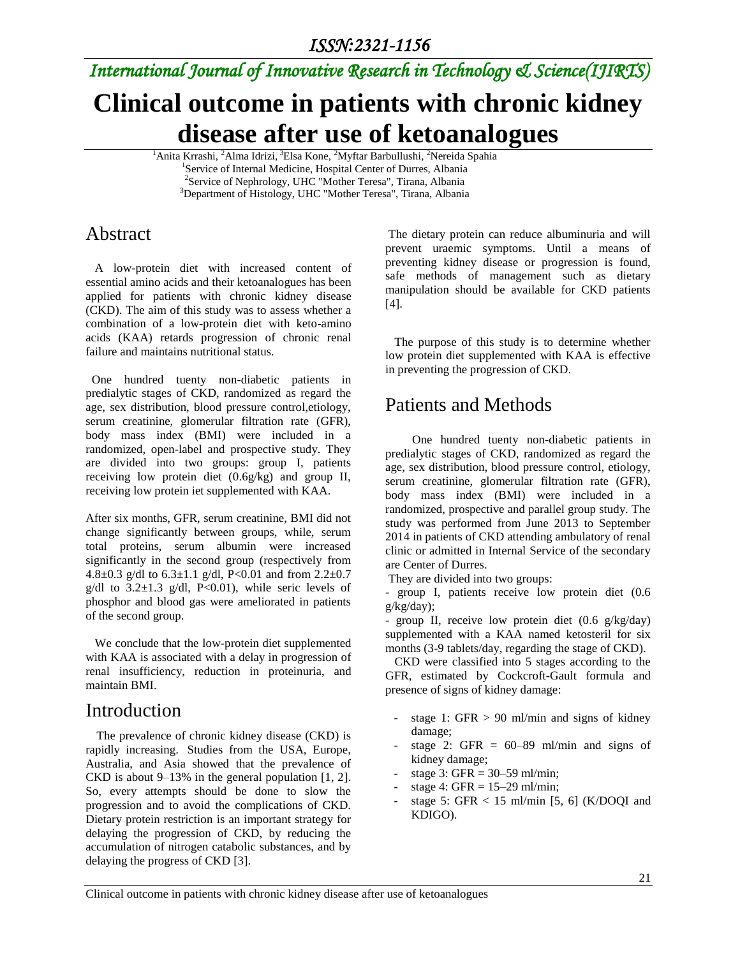# *International Journal of Innovative Research in Technology & Science(IJIRTS)*

# **Clinical outcome in patients with chronic kidney disease after use of ketoanalogues**

<sup>1</sup>Anita Krrashi, <sup>2</sup>Alma Idrizi, <sup>3</sup>Elsa Kone, <sup>2</sup>Myftar Barbullushi, <sup>2</sup>Nereida Spahia <sup>1</sup>Service of Internal Medicine, Hospital Center of Durres, Albania <sup>2</sup>Service of Nephrology, UHC "Mother Teresa", Tirana, Albania <sup>3</sup>Department of Histology, UHC "Mother Teresa", Tirana, Albania

# Abstract

 A low-protein diet with increased content of essential amino acids and their ketoanalogues has been applied for patients with chronic kidney disease (CKD). The aim of this study was to assess whether a combination of a low-protein diet with keto-amino acids (KAA) retards progression of chronic renal failure and maintains nutritional status.

 One hundred tuenty non-diabetic patients in predialytic stages of CKD, randomized as regard the age, sex distribution, blood pressure control,etiology, serum creatinine, glomerular filtration rate (GFR), body mass index (BMI) were included in a randomized, open-label and prospective study. They are divided into two groups: group I, patients receiving low protein diet (0.6g/kg) and group II, receiving low protein iet supplemented with KAA.

After six months, GFR, serum creatinine, BMI did not change significantly between groups, while, serum total proteins, serum albumin were increased significantly in the second group (respectively from 4.8 $\pm$ 0.3 g/dl to 6.3 $\pm$ 1.1 g/dl, P<0.01 and from 2.2 $\pm$ 0.7 g/dl to  $3.2 \pm 1.3$  g/dl, P<0.01), while seric levels of phosphor and blood gas were ameliorated in patients of the second group.

 We conclude that the low-protein diet supplemented with KAA is associated with a delay in progression of renal insufficiency, reduction in proteinuria, and maintain BMI.

### Introduction

 The prevalence of chronic kidney disease (CKD) is rapidly increasing. Studies from the USA, Europe, Australia, and Asia showed that the prevalence of CKD is about 9–13% in the general population [1, 2]. So, every attempts should be done to slow the progression and to avoid the complications of CKD. Dietary protein restriction is an important strategy for delaying the progression of CKD, by reducing the accumulation of nitrogen catabolic substances, and by delaying the progress of CKD [3].

The dietary protein can reduce albuminuria and will prevent uraemic symptoms. Until a means of preventing kidney disease or progression is found, safe methods of management such as dietary manipulation should be available for CKD patients [4].

 The purpose of this study is to determine whether low protein diet supplemented with KAA is effective in preventing the progression of CKD.

# Patients and Methods

 One hundred tuenty non-diabetic patients in predialytic stages of CKD, randomized as regard the age, sex distribution, blood pressure control, etiology, serum creatinine, glomerular filtration rate (GFR), body mass index (BMI) were included in a randomized, prospective and parallel group study. The study was performed from June 2013 to September 2014 in patients of CKD attending ambulatory of renal clinic or admitted in Internal Service of the secondary are Center of Durres.

They are divided into two groups:

- group I, patients receive low protein diet (0.6 g/kg/day);

- group II, receive low protein diet (0.6 g/kg/day) supplemented with a KAA named ketosteril for six months (3-9 tablets/day, regarding the stage of CKD).

 CKD were classified into 5 stages according to the GFR, estimated by Cockcroft-Gault formula and presence of signs of kidney damage:

- stage 1: GFR  $> 90$  ml/min and signs of kidney damage;
- stage 2: GFR  $= 60-89$  ml/min and signs of kidney damage;
- stage 3: GFR =  $30-59$  ml/min;
- stage 4: GFR  $= 15-29$  ml/min;
- stage 5: GFR  $< 15$  ml/min [5, 6] (K/DOOI and KDIGO).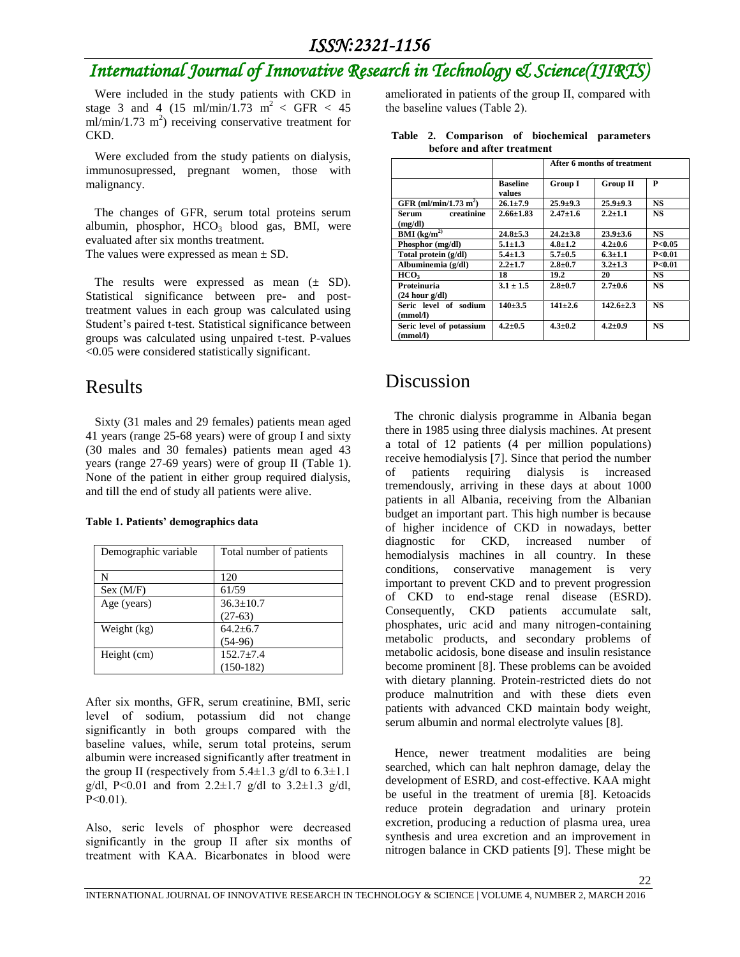# *International Journal of Innovative Research in Technology & Science(IJIRTS)*

 Were included in the study patients with CKD in stage 3 and 4 (15 ml/min/1.73 m<sup>2</sup> < GFR < 45  $ml/min/1.73$  m<sup>2</sup>) receiving conservative treatment for CKD.

 Were excluded from the study patients on dialysis, immunosupressed, pregnant women, those with malignancy.

 The changes of GFR, serum total proteins serum albumin, phosphor,  $HCO<sub>3</sub>$  blood gas, BMI, were evaluated after six months treatment. The values were expressed as mean  $\pm$  SD.

The results were expressed as mean  $(\pm SD)$ . Statistical significance between pre**-** and posttreatment values in each group was calculated using Student's paired t-test. Statistical significance between groups was calculated using unpaired t-test. P-values <0.05 were considered statistically significant.

### Results

 Sixty (31 males and 29 females) patients mean aged 41 years (range 25-68 years) were of group I and sixty (30 males and 30 females) patients mean aged 43 years (range 27-69 years) were of group II (Table 1). None of the patient in either group required dialysis, and till the end of study all patients were alive.

| Demographic variable | Total number of patients |
|----------------------|--------------------------|
| N                    | 120                      |
| Sex (M/F)            | 61/59                    |
| Age (years)          | $36.3 \pm 10.7$          |
|                      | $(27-63)$                |
| Weight (kg)          | $64.2 \pm 6.7$           |
|                      | $(54-96)$                |
| Height (cm)          | $152.7 + 7.4$            |
|                      | $(150-182)$              |

After six months, GFR, serum creatinine, BMI, seric level of sodium, potassium did not change significantly in both groups compared with the baseline values, while, serum total proteins, serum albumin were increased significantly after treatment in the group II (respectively from  $5.4 \pm 1.3$  g/dl to  $6.3 \pm 1.1$ g/dl, P<0.01 and from 2.2 $\pm$ 1.7 g/dl to 3.2 $\pm$ 1.3 g/dl,  $P<0.01$ ).

Also, seric levels of phosphor were decreased significantly in the group II after six months of treatment with KAA. Bicarbonates in blood were

ameliorated in patients of the group II, compared with the baseline values (Table 2).

| veivi e anu anei 'n catment          |                           |                             |                 |                   |  |  |
|--------------------------------------|---------------------------|-----------------------------|-----------------|-------------------|--|--|
|                                      |                           | After 6 months of treatment |                 |                   |  |  |
|                                      | <b>Baseline</b><br>values | <b>Group I</b>              | <b>Group II</b> | P                 |  |  |
| GFR $(ml/min/1.73 m2)$               | $26.1 + 7.9$              | $25.9 + 9.3$                | $25.9 + 9.3$    | <b>NS</b>         |  |  |
| creatinine<br>Serum<br>(mg/dl)       | $2.66 \pm 1.83$           | $2.47 \pm 1.6$              | $2.2 + 1.1$     | NS                |  |  |
| $\mathbf{BMI}$ (kg/m <sup>2)</sup>   | $24.8 \pm 5.3$            | $24.2 + 3.8$                | $23.9 \pm 3.6$  | <b>NS</b>         |  |  |
| Phosphor (mg/dl)                     | $5.1 \pm 1.3$             | $4.8 \pm 1.2$               | $4.2 + 0.6$     | P<0.05            |  |  |
| Total protein (g/dl)                 | $5.4 \pm 1.3$             | $5.7 \pm 0.5$               | $6.3 \pm 1.1$   | P <sub>0.01</sub> |  |  |
| Albuminemia (g/dl)                   | $2.2 + 1.7$               | $2.8 + 0.7$                 | $3.2 + 1.3$     | P<0.01            |  |  |
| нсо.                                 | 18                        | 19.2                        | 20              | NS                |  |  |
| Proteinuria<br>$(24$ hour $g/dl$ )   | $3.1 \pm 1.5$             | $2.8 + 0.7$                 | $2.7 + 0.6$     | <b>NS</b>         |  |  |
| Seric level of sodium<br>(mmol/l)    | $140 + 3.5$               | $141 + 2.6$                 | $142.6 + 2.3$   | <b>NS</b>         |  |  |
| Seric level of potassium<br>(mmol/l) | $4.2 + 0.5$               | $4.3 + 0.2$                 | $4.2 \pm 0.9$   | <b>NS</b>         |  |  |

#### **Table 2. Comparison of biochemical parameters before and after treatment**

# Discussion

 The chronic dialysis programme in Albania began there in 1985 using three dialysis machines. At present a total of 12 patients (4 per million populations) receive hemodialysis [7]. Since that period the number of patients requiring dialysis is increased tremendously, arriving in these days at about 1000 patients in all Albania, receiving from the Albanian budget an important part. This high number is because of higher incidence of CKD in nowadays, better diagnostic for CKD, increased number of hemodialysis machines in all country. In these conditions, conservative management is very important to prevent CKD and to prevent progression of CKD to end-stage renal disease (ESRD). Consequently, CKD patients accumulate salt, phosphates, uric acid and many nitrogen-containing metabolic products, and secondary problems of metabolic acidosis, bone disease and insulin resistance become prominent [8]. These problems can be avoided with dietary planning. Protein-restricted diets do not produce malnutrition and with these diets even patients with advanced CKD maintain body weight, serum albumin and normal electrolyte values [8].

 Hence, newer treatment modalities are being searched, which can halt nephron damage, delay the development of ESRD, and cost-effective. KAA might be useful in the treatment of uremia [8]. Ketoacids reduce protein degradation and urinary protein excretion, producing a reduction of plasma urea, urea synthesis and urea excretion and an improvement in nitrogen balance in CKD patients [9]. These might be